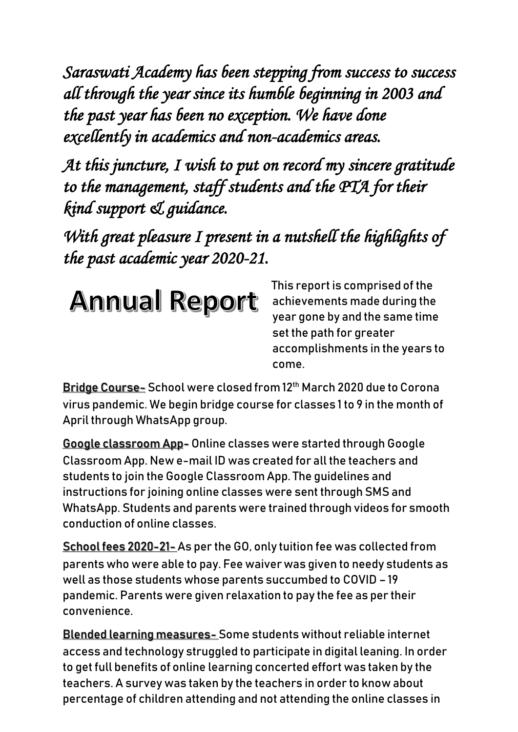*Saraswati Academy has been stepping from success to success all through the year since its humble beginning in 2003 and the past year has been no exception. We have done excellently in academics and non-academics areas.* 

*At this juncture, I wish to put on record my sincere gratitude to the management, staff students and the PTA for their kind support & guidance.* 

*With great pleasure I present in a nutshell the highlights of the past academic year 2020-21.* 



This report is comprised of the achievements made during the year gone by and the same time set the path for greater accomplishments in the years to come.

Bridge Course- School were closed from 12<sup>th</sup> March 2020 due to Corona virus pandemic. We begin bridge course for classes 1 to 9 in the month of April through WhatsApp group.

Google classroom App- Online classes were started through Google Classroom App. New e-mail ID was created for all the teachers and students to join the Google Classroom App. The guidelines and instructions for joining online classes were sent through SMS and WhatsApp. Students and parents were trained through videos for smooth conduction of online classes.

School fees 2020-21- As per the GO, only tuition fee was collected from parents who were able to pay. Fee waiver was given to needy students as well as those students whose parents succumbed to COVID – 19 pandemic. Parents were given relaxation to pay the fee as per their convenience.

Blended learning measures- Some students without reliable internet access and technology struggled to participate in digital leaning. In order to get full benefits of online learning concerted effort was taken by the teachers. A survey was taken by the teachers in order to know about percentage of children attending and not attending the online classes in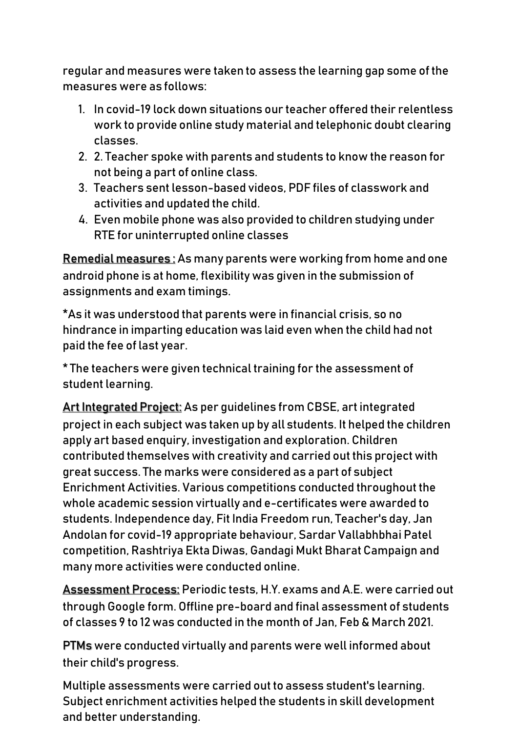regular and measures were taken to assess the learning gap some of the measures were as follows:

- 1. In covid-19 lock down situations our teacher offered their relentless work to provide online study material and telephonic doubt clearing classes.
- 2. 2. Teacher spoke with parents and students to know the reason for not being a part of online class.
- 3. Teachers sent lesson-based videos, PDF files of classwork and activities and updated the child.
- 4. Even mobile phone was also provided to children studying under RTE for uninterrupted online classes

Remedial measures : As many parents were working from home and one android phone is at home, flexibility was given in the submission of assignments and exam timings.

\*As it was understood that parents were in financial crisis, so no hindrance in imparting education was laid even when the child had not paid the fee of last year.

\* The teachers were given technical training for the assessment of student learning.

Art Integrated Project: As per guidelines from CBSE, art integrated project in each subject was taken up by all students. It helped the children apply art based enquiry, investigation and exploration. Children contributed themselves with creativity and carried out this project with great success. The marks were considered as a part of subject Enrichment Activities. Various competitions conducted throughout the whole academic session virtually and e-certificates were awarded to students. Independence day, Fit India Freedom run, Teacher's day, Jan Andolan for covid-19 appropriate behaviour, Sardar Vallabhbhai Patel competition, Rashtriya Ekta Diwas, Gandagi Mukt Bharat Campaign and many more activities were conducted online.

Assessment Process: Periodic tests, H.Y. exams and A.E. were carried out through Google form. Offline pre-board and final assessment of students of classes 9 to 12 was conducted in the month of Jan, Feb & March 2021.

PTMs were conducted virtually and parents were well informed about their child's progress.

Multiple assessments were carried out to assess student's learning. Subject enrichment activities helped the students in skill development and better understanding.